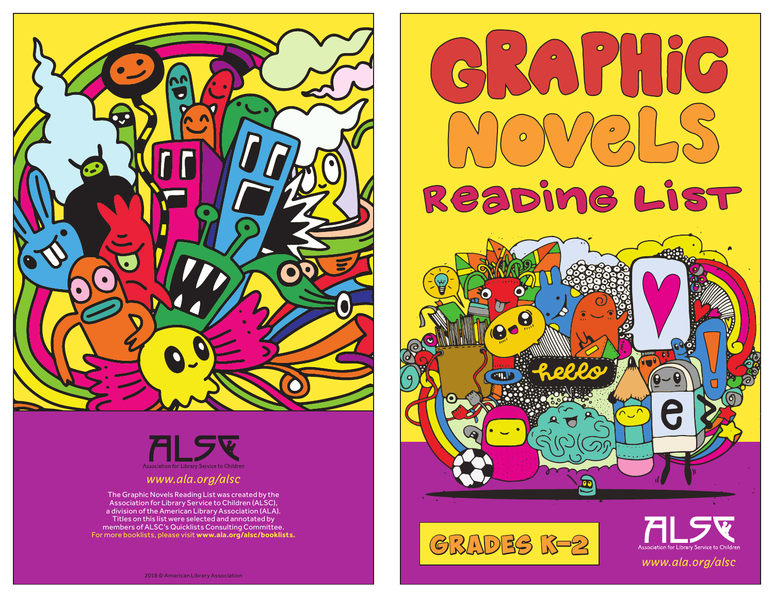

![](_page_0_Picture_1.jpeg)

# *www.ala.org/alsc*

The Graphic Novels Reading List was created by the Association for Library Service to Children (ALSC), a division of the American Library Association (ALA). Titles on this list were selected and annotated by members of ALSC's Quicklists Consulting Committee. For more booklists, please visit **www.ala.org/alsc/booklists.**

![](_page_0_Picture_4.jpeg)

![](_page_0_Picture_5.jpeg)

![](_page_0_Picture_6.jpeg)

![](_page_0_Picture_7.jpeg)